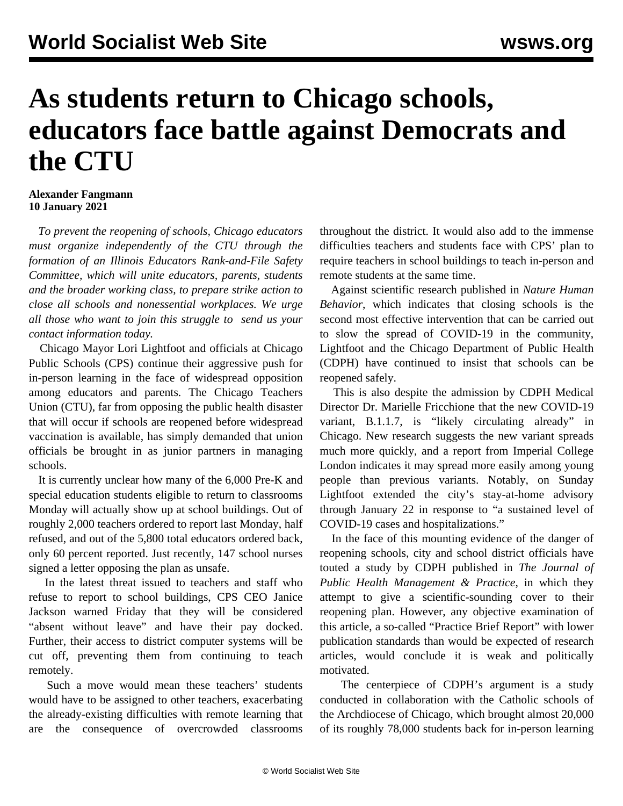## **As students return to Chicago schools, educators face battle against Democrats and the CTU**

## **Alexander Fangmann 10 January 2021**

 *To prevent the reopening of schools, Chicago educators must organize independently of the CTU through the formation of an Illinois Educators Rank-and-File Safety Committee, which will unite educators, parents, students and the broader working class, to prepare strike action to close all schools and nonessential workplaces. We urge all those who want to join this struggle to [send us your](/edsafety) [contact information today.](/edsafety)* 

 Chicago Mayor Lori Lightfoot and officials at Chicago Public Schools (CPS) continue their aggressive push for in-person learning in the face of widespread opposition among educators and parents. The Chicago Teachers Union (CTU), far from opposing the public health disaster that will occur if schools are reopened before widespread vaccination is available, has simply demanded that union officials be brought in as junior partners in managing schools.

 It is currently unclear how many of the 6,000 Pre-K and special education students eligible to return to classrooms Monday will actually show up at school buildings. Out of roughly 2,000 teachers ordered to report last Monday, half refused, and out of the 5,800 total educators ordered back, only 60 percent reported. Just recently, 147 school nurses signed a letter opposing the plan as unsafe.

 In the latest threat issued to teachers and staff who refuse to report to school buildings, CPS CEO Janice Jackson warned Friday that they will be considered "absent without leave" and have their pay docked. Further, their access to district computer systems will be cut off, preventing them from continuing to teach remotely.

 Such a move would mean these teachers' students would have to be assigned to other teachers, exacerbating the already-existing difficulties with remote learning that are the consequence of overcrowded classrooms throughout the district. It would also add to the immense difficulties teachers and students face with CPS' plan to require teachers in school buildings to teach in-person and remote students at the same time.

 Against scientific research published in *Nature Human Behavior*, which indicates that closing schools is the second most effective intervention that can be carried out to slow the spread of COVID-19 in the community, Lightfoot and the Chicago Department of Public Health (CDPH) have continued to insist that schools can be reopened safely.

 This is also despite the admission by CDPH Medical Director Dr. Marielle Fricchione that the new COVID-19 variant, B.1.1.7, is "likely circulating already" in Chicago. New research [suggests](/en/articles/2020/12/23/vari-d23.html) the new variant spreads much more quickly, and a [report](https://www.imperial.ac.uk/mrc-global-infectious-disease-analysis/covid-19/report-42-sars-cov-2-variant/) from Imperial College London indicates it may spread more easily among young people than previous variants. Notably, on Sunday Lightfoot extended the city's stay-at-home advisory through January 22 in response to "a sustained level of COVID-19 cases and hospitalizations."

 In the face of this mounting evidence of the danger of reopening schools, city and school district officials have touted a [study](https://journals.lww.com/jphmp/Abstract/9000/Data_Driven_Reopening_of_Urban_Public_Education.99206.aspx) by CDPH published in *The Journal of Public Health Management & Practice*, in which they attempt to give a scientific-sounding cover to their reopening plan. However, any objective examination of this article, a so-called "Practice Brief Report" with lower publication standards than would be expected of research articles, would conclude it is weak and politically motivated.

 The centerpiece of CDPH's argument is a study conducted in collaboration with the Catholic schools of the Archdiocese of Chicago, which brought almost 20,000 of its roughly 78,000 students back for in-person learning